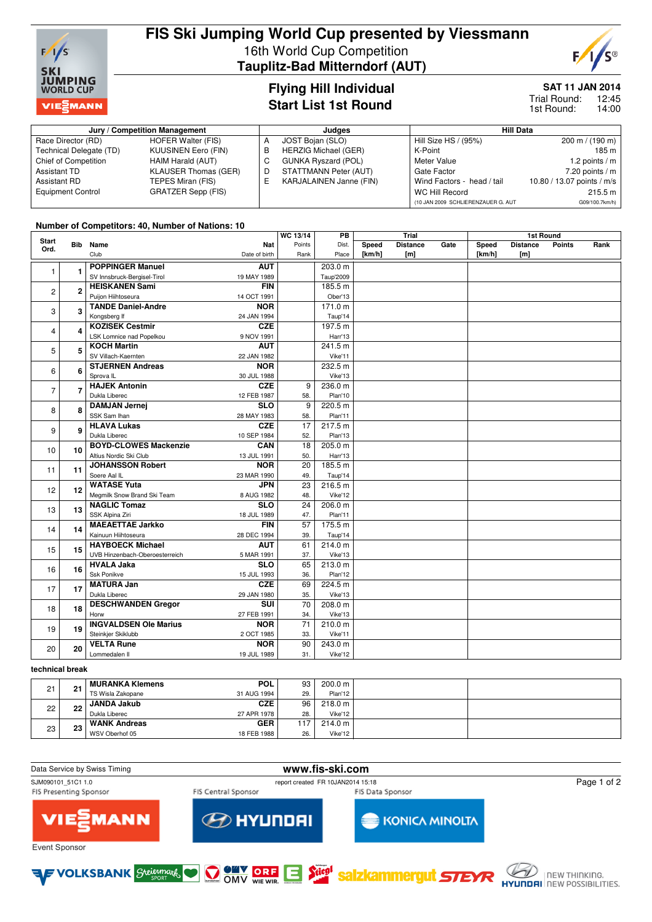

# **FIS Ski Jumping World Cup presented by Viessmann** 16th World Cup Competition **Tauplitz-Bad Mitterndorf (AUT)**

**Flying Hill Individual Start List 1st Round**



**SAT 11 JAN 2014**

12:45 14:00 Trial Round: 1st Round:

#### **Jury / Competition Management Judges Hill Data** Race Director (RD) HOFER Walter (FIS)<br>Technical Delegate (TD) KUUSINEN Eero (FIN) Technical Delegate (TD) KUUSINEN Eero (F<br>
Chief of Competition HAIM Harald (AUT) Chief of Competition Assistant TD KLAUSER Thomas (GER)<br>Assistant RD TEPES Miran (FIS) TEPES Miran (FIS) Equipment Control GRATZER Sepp (FIS) A JOST Bojan (SLO) B HERZIG Michael (GER)<br>C GUNKA Ryszard (POL) GUNKA Ryszard (POL) D STATTMANN Peter (AUT)<br>E KARJALAINEN Janne (FIN E KARJALAINEN Janne (FIN) Hill Size HS / (95%) 200 m / (190 m) K-Point 185 m<br>Meter Value 1.2 points / m 1.2 points /  $m$ Gate Factor 7.20 points / m<br>Wind Factors - head / tail 10.80 / 13.07 points / m/s Wind Factors - head / tail WC Hill Record 215.5 m (10 JAN 2009 SCHLIERENZAUER G. AUT G09/100.7km/h)

### **Number of Competitors: 40, Number of Nations: 10**

| <b>Start</b>   |                |                                | WC 13/14      | РB              |           | Trial  |                 |      | 1st Round |                  |        |      |  |
|----------------|----------------|--------------------------------|---------------|-----------------|-----------|--------|-----------------|------|-----------|------------------|--------|------|--|
| Ord.           |                | <b>Bib</b> Name                | <b>Nat</b>    | Points          | Dist.     | Speed  | <b>Distance</b> | Gate | Speed     | <b>Distance</b>  | Points | Rank |  |
|                |                | Club                           | Date of birth | Rank            | Place     | [km/h] | [m]             |      | [km/h]    | [ <sub>m</sub> ] |        |      |  |
| $\mathbf{1}$   |                | <b>POPPINGER Manuel</b>        | <b>AUT</b>    |                 | 203.0 m   |        |                 |      |           |                  |        |      |  |
|                | $\blacksquare$ | SV Innsbruck-Bergisel-Tirol    | 19 MAY 1989   |                 | Taup'2009 |        |                 |      |           |                  |        |      |  |
| $\overline{c}$ | $\overline{2}$ | <b>HEISKANEN Sami</b>          | <b>FIN</b>    |                 | 185.5 m   |        |                 |      |           |                  |        |      |  |
|                |                | Puijon Hiihtoseura             | 14 OCT 1991   |                 | Ober'13   |        |                 |      |           |                  |        |      |  |
|                | 3              | <b>TANDE Daniel-Andre</b>      | <b>NOR</b>    |                 | 171.0 m   |        |                 |      |           |                  |        |      |  |
| 3              |                | Kongsberg If                   | 24 JAN 1994   |                 | Taup'14   |        |                 |      |           |                  |        |      |  |
| 4              | 4              | <b>KOZISEK Cestmir</b>         | <b>CZE</b>    |                 | 197.5 m   |        |                 |      |           |                  |        |      |  |
|                |                | LSK Lomnice nad Popelkou       | 9 NOV 1991    |                 | Harr'13   |        |                 |      |           |                  |        |      |  |
| 5              | 5              | <b>KOCH Martin</b>             | <b>AUT</b>    |                 | 241.5 m   |        |                 |      |           |                  |        |      |  |
|                |                | SV Villach-Kaernten            | 22 JAN 1982   |                 | Vike'11   |        |                 |      |           |                  |        |      |  |
| 6              | 6              | <b>STJERNEN Andreas</b>        | <b>NOR</b>    |                 | 232.5 m   |        |                 |      |           |                  |        |      |  |
|                |                | Sprova IL                      | 30 JUL 1988   |                 | Vike'13   |        |                 |      |           |                  |        |      |  |
| $\overline{7}$ | $\overline{7}$ | <b>HAJEK Antonin</b>           | <b>CZE</b>    | 9               | 236.0 m   |        |                 |      |           |                  |        |      |  |
|                |                | Dukla Liberec                  | 12 FEB 1987   | 58.             | Plan'10   |        |                 |      |           |                  |        |      |  |
| 8              | 8              | <b>DAMJAN Jernej</b>           | <b>SLO</b>    | 9               | 220.5 m   |        |                 |      |           |                  |        |      |  |
|                |                | SSK Sam Ihan                   | 28 MAY 1983   | 58.             | Plan'11   |        |                 |      |           |                  |        |      |  |
| 9              | 9              | <b>HLAVA Lukas</b>             | <b>CZE</b>    | 17              | 217.5 m   |        |                 |      |           |                  |        |      |  |
|                |                | Dukla Liberec                  | 10 SEP 1984   | 52.             | Plan'13   |        |                 |      |           |                  |        |      |  |
| 10             | 10             | <b>BOYD-CLOWES Mackenzie</b>   | CAN           | 18              | 205.0 m   |        |                 |      |           |                  |        |      |  |
|                |                | Altius Nordic Ski Club         | 13 JUL 1991   | 50.             | Harr'13   |        |                 |      |           |                  |        |      |  |
| 11             | 11             | <b>JOHANSSON Robert</b>        | <b>NOR</b>    | 20              | 185.5 m   |        |                 |      |           |                  |        |      |  |
|                |                | Soere Aal IL                   | 23 MAR 1990   | 49.             | Taup'14   |        |                 |      |           |                  |        |      |  |
| 12             | 12             | <b>WATASE Yuta</b>             | <b>JPN</b>    | 23              | 216.5 m   |        |                 |      |           |                  |        |      |  |
|                |                | Megmilk Snow Brand Ski Team    | 8 AUG 1982    | 48.             | Vike'12   |        |                 |      |           |                  |        |      |  |
| 13             | 13             | <b>NAGLIC Tomaz</b>            | SLO           | $\overline{24}$ | 206.0 m   |        |                 |      |           |                  |        |      |  |
|                |                | SSK Alpina Ziri                | 18 JUL 1989   | 47.             | Plan'11   |        |                 |      |           |                  |        |      |  |
| 14             | 14             | <b>MAEAETTAE Jarkko</b>        | <b>FIN</b>    | 57              | 175.5 m   |        |                 |      |           |                  |        |      |  |
|                |                | Kainuun Hiihtoseura            | 28 DEC 1994   | 39.             | Taup'14   |        |                 |      |           |                  |        |      |  |
| 15             | 15             | <b>HAYBOECK Michael</b>        | <b>AUT</b>    | 61              | 214.0 m   |        |                 |      |           |                  |        |      |  |
|                |                | UVB Hinzenbach-Oberoesterreich | 5 MAR 1991    | 37.             | Vike'13   |        |                 |      |           |                  |        |      |  |
| 16             | 16             | <b>HVALA Jaka</b>              | <b>SLO</b>    | 65              | 213.0 m   |        |                 |      |           |                  |        |      |  |
|                |                | Ssk Ponikve                    | 15 JUL 1993   | 36.             | Plan'12   |        |                 |      |           |                  |        |      |  |
| 17             | 17             | <b>MATURA Jan</b>              | <b>CZE</b>    | 69              | 224.5 m   |        |                 |      |           |                  |        |      |  |
|                |                | Dukla Liberec                  | 29 JAN 1980   | 35.             | Vike'13   |        |                 |      |           |                  |        |      |  |
| 18             | 18             | <b>DESCHWANDEN Gregor</b>      | <b>SUI</b>    | 70              | 208.0 m   |        |                 |      |           |                  |        |      |  |
|                |                | Horw                           | 27 FEB 1991   | 34.             | Vike'13   |        |                 |      |           |                  |        |      |  |
| 19             | 19             | <b>INGVALDSEN Ole Marius</b>   | <b>NOR</b>    | 71              | 210.0 m   |        |                 |      |           |                  |        |      |  |
|                |                | Steinkjer Skiklubb             | 2 OCT 1985    | 33.             | Vike'11   |        |                 |      |           |                  |        |      |  |
| 20             | 20             | <b>VELTA Rune</b>              | <b>NOR</b>    | 90              | 243.0 m   |        |                 |      |           |                  |        |      |  |
|                |                | Lommedalen II                  | 19 JUL 1989   | 31.             | Vike'12   |        |                 |      |           |                  |        |      |  |

### **technical break**

| 21 | - 21 | ' MURANKA Klemens   | <b>POL</b>  | 93  | 200.0 m           |  |
|----|------|---------------------|-------------|-----|-------------------|--|
|    |      | TS Wisla Zakopane   | 31 AUG 1994 | 29. | Plan'12           |  |
| 22 | 22   | <b>JANDA Jakub</b>  | <b>CZE</b>  | 96  | $218.0 \text{ m}$ |  |
|    |      | Dukla Liberec       | 27 APR 1978 | 28. | Vike'12           |  |
| 23 | 23   | <b>WANK Andreas</b> | <b>GER</b>  | 117 | 214.0 m           |  |
|    |      | WSV Oberhof 05      | 18 FEB 1988 | 26. | Vike'12           |  |